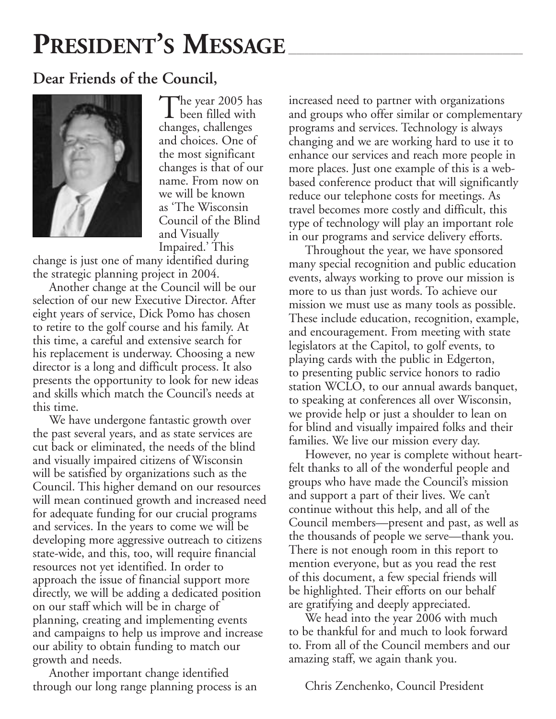# PRESIDENT'S MESSAGE

#### **Dear Friends of the Council,**



The year 2005 has been filled with changes, challenges and choices. One of the most significant changes is that of our name. From now on we will be known as 'The Wisconsin Council of the Blind and Visually Impaired.' This

change is just one of many identified during the strategic planning project in 2004.

Another change at the Council will be our selection of our new Executive Director. After eight years of service, Dick Pomo has chosen to retire to the golf course and his family. At this time, a careful and extensive search for his replacement is underway. Choosing a new director is a long and difficult process. It also presents the opportunity to look for new ideas and skills which match the Council's needs at this time.

We have undergone fantastic growth over the past several years, and as state services are cut back or eliminated, the needs of the blind and visually impaired citizens of Wisconsin will be satisfied by organizations such as the Council. This higher demand on our resources will mean continued growth and increased need for adequate funding for our crucial programs and services. In the years to come we will be developing more aggressive outreach to citizens state-wide, and this, too, will require financial resources not yet identified. In order to approach the issue of financial support more directly, we will be adding a dedicated position on our staff which will be in charge of planning, creating and implementing events and campaigns to help us improve and increase our ability to obtain funding to match our growth and needs.

Another important change identified through our long range planning process is an increased need to partner with organizations and groups who offer similar or complementary programs and services. Technology is always changing and we are working hard to use it to enhance our services and reach more people in more places. Just one example of this is a webbased conference product that will significantly reduce our telephone costs for meetings. As travel becomes more costly and difficult, this type of technology will play an important role in our programs and service delivery efforts.

Throughout the year, we have sponsored many special recognition and public education events, always working to prove our mission is more to us than just words. To achieve our mission we must use as many tools as possible. These include education, recognition, example, and encouragement. From meeting with state legislators at the Capitol, to golf events, to playing cards with the public in Edgerton, to presenting public service honors to radio station WCLO, to our annual awards banquet, to speaking at conferences all over Wisconsin, we provide help or just a shoulder to lean on for blind and visually impaired folks and their families. We live our mission every day.

However, no year is complete without heartfelt thanks to all of the wonderful people and groups who have made the Council's mission and support a part of their lives. We can't continue without this help, and all of the Council members—present and past, as well as the thousands of people we serve—thank you. There is not enough room in this report to mention everyone, but as you read the rest of this document, a few special friends will be highlighted. Their efforts on our behalf are gratifying and deeply appreciated.

We head into the year 2006 with much to be thankful for and much to look forward to. From all of the Council members and our amazing staff, we again thank you.

Chris Zenchenko, Council President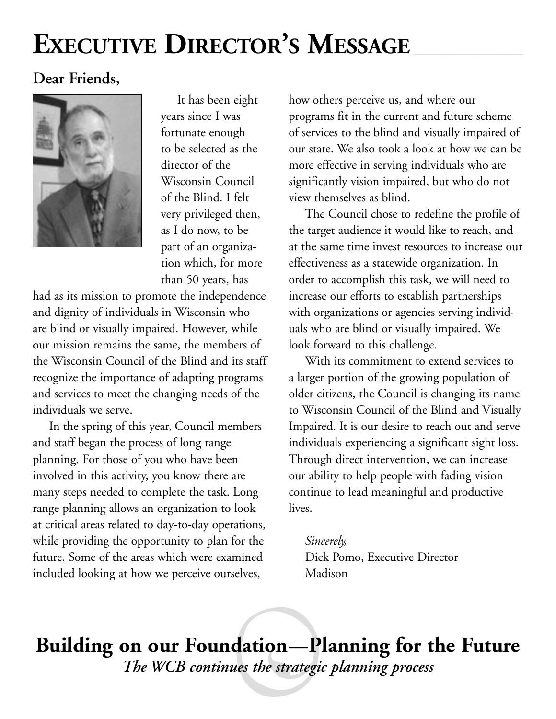# EXECUTIVE DIRECTOR'S MESSAGE

### **Dear Friends,**



It has been eight years since I was fortunate enough to be selected as the director of the Wisconsin Council of the Blind. I felt very privileged then, as I do now, to be part of an organization which, for more than 50 years, has

had as its mission to promote the independence and dignity of individuals in Wisconsin who are blind or visually impaired. However, while our mission remains the same, the members of the Wisconsin Council of the Blind and its staff recognize the importance of adapting programs and services to meet the changing needs of the individuals we serve.

In the spring of this year, Council members and staff began the process of long range planning. For those of you who have been involved in this activity, you know there are many steps needed to complete the task. Long range planning allows an organization to look at critical areas related to day-to-day operations, while providing the opportunity to plan for the future. Some of the areas which were examined included looking at how we perceive ourselves,

how others perceive us, and where our programs fit in the current and future scheme of services to the blind and visually impaired of our state. We also took a look at how we can be more effective in serving individuals who are significantly vision impaired, but who do not view themselves as blind.

The Council chose to redefine the profile of the target audience it would like to reach, and at the same time invest resources to increase our effectiveness as a statewide organization. In order to accomplish this task, we will need to increase our efforts to establish partnerships with organizations or agencies serving individuals who are blind or visually impaired. We look forward to this challenge.

With its commitment to extend services to a larger portion of the growing population of older citizens, the Council is changing its name to Wisconsin Council of the Blind and Visually Impaired. It is our desire to reach out and serve individuals experiencing a significant sight loss. Through direct intervention, we can increase our ability to help people with fading vision continue to lead meaningful and productive lives.

*Sincerely,*  Dick Pomo, Executive Director Madison

**Building on our Foundation—Planning for the Future**  *The WCB continues the strategic planning process*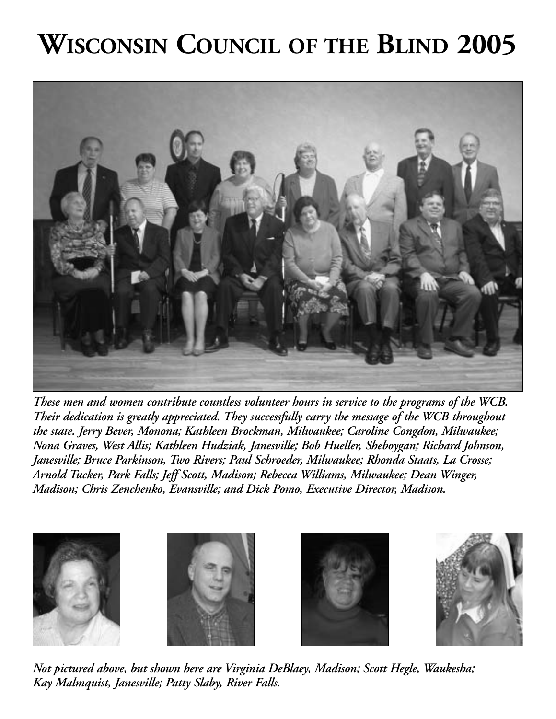# **WISCONSIN COUNCIL OF THE BLIND 2005**



*These men and women contribute countless volunteer hours in service to the programs of the WCB. Their dedication is greatly appreciated. They successfully carry the message of the WCB throughout the state. Jerry Bever, Monona; Kathleen Brockman, Milwaukee; Caroline Congdon, Milwaukee; Nona Graves, West Allis; Kathleen Hudziak, Janesville; Bob Hueller, Sheboygan; Richard Johnson, Janesville; Bruce Parkinson, Two Rivers; Paul Schroeder, Milwaukee; Rhonda Staats, La Crosse; Arnold Tucker, Park Falls; Jeff Scott, Madison; Rebecca Williams, Milwaukee; Dean Winger, Madison; Chris Zenchenko, Evansville; and Dick Pomo, Executive Director, Madison.* 



*Not pictured above, but shown here are Virginia DeBlaey, Madison; Scott Hegle, Waukesha; Kay Malmquist, Janesville; Patty Slaby, River Falls.*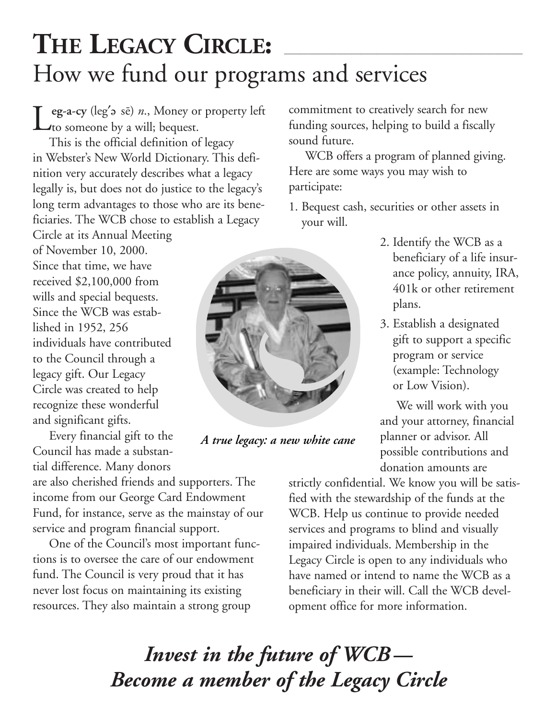### THE LEGACY CIRCLE: How we fund our programs and services

Leg-a-cy (leg' > sē) *n*., Money or property left commitment to creatively search for new funding sources, helping to build a fiscally to someone by a will; bequest. funding sources, helping to build a fiscally

This is the official definition of legacy in Webster's New World Dictionary. This definition very accurately describes what a legacy legally is, but does not do justice to the legacy's long term advantages to those who are its beneficiaries. The WCB chose to establish a Legacy

Circle at its Annual Meeting of November 10, 2000. Since that time, we have received \$2,100,000 from wills and special bequests. Since the WCB was established in 1952, 256 individuals have contributed to the Council through a legacy gift. Our Legacy Circle was created to help recognize these wonderful and significant gifts.

Every financial gift to the Council has made a substantial difference. Many donors

are also cherished friends and supporters. The income from our George Card Endowment Fund, for instance, serve as the mainstay of our service and program financial support.

One of the Council's most important functions is to oversee the care of our endowment fund. The Council is very proud that it has never lost focus on maintaining its existing resources. They also maintain a strong group

sound future.

WCB offers a program of planned giving. Here are some ways you may wish to participate:

1. Bequest cash, securities or other assets in your will.



*A true legacy: a new white cane* 

2. Identify the WCB as a beneficiary of a life insurance policy, annuity, IRA, 401k or other retirement plans.

3. Establish a designated gift to support a specific program or service (example: Technology or Low Vision).

We will work with you and your attorney, financial planner or advisor. All possible contributions and donation amounts are

strictly confidential. We know you will be satisfied with the stewardship of the funds at the WCB. Help us continue to provide needed services and programs to blind and visually impaired individuals. Membership in the Legacy Circle is open to any individuals who have named or intend to name the WCB as a beneficiary in their will. Call the WCB development office for more information.

*Invest in the future of WCB — Become a member of the Legacy Circle*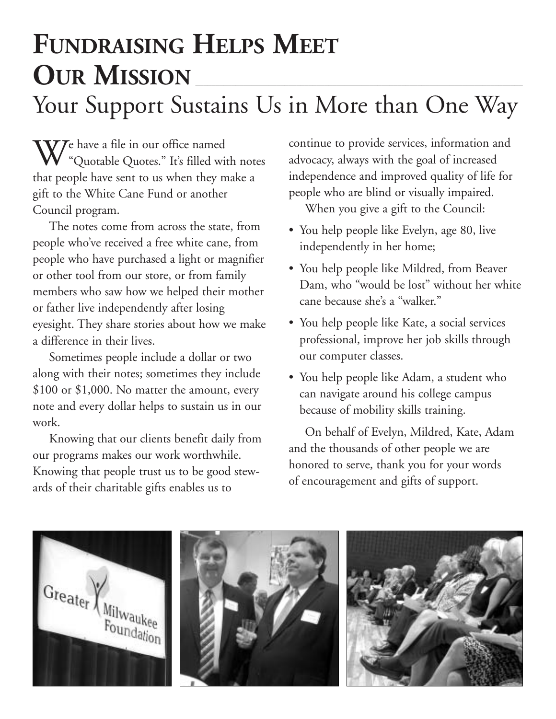### **FUNDRAISING HELPS MEET OUR MISSION** Your Support Sustains Us in More than One Way

 $\mathbf{W}$ Pe have a file in our office named "Quotable Quotes." It's filled with notes that people have sent to us when they make a gift to the White Cane Fund or another Council program.

The notes come from across the state, from people who've received a free white cane, from people who have purchased a light or magnifier or other tool from our store, or from family members who saw how we helped their mother or father live independently after losing eyesight. They share stories about how we make a difference in their lives.

Sometimes people include a dollar or two along with their notes; sometimes they include \$100 or \$1,000. No matter the amount, every note and every dollar helps to sustain us in our work.

Knowing that our clients benefit daily from our programs makes our work worthwhile. Knowing that people trust us to be good stewards of their charitable gifts enables us to

continue to provide services, information and advocacy, always with the goal of increased independence and improved quality of life for people who are blind or visually impaired.

When you give a gift to the Council:

- You help people like Evelyn, age 80, live independently in her home;
- You help people like Mildred, from Beaver Dam, who "would be lost" without her white cane because she's a "walker."
- You help people like Kate, a social services professional, improve her job skills through our computer classes.
- You help people like Adam, a student who can navigate around his college campus because of mobility skills training.

On behalf of Evelyn, Mildred, Kate, Adam and the thousands of other people we are honored to serve, thank you for your words of encouragement and gifts of support.

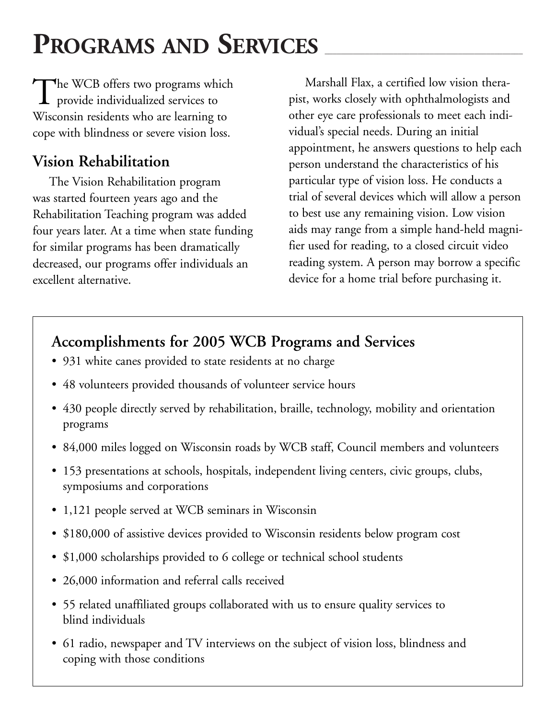# PROGRAMS AND SERVICES

The WCB offers two programs which<br>provide individualized services to Wisconsin residents who are learning to cope with blindness or severe vision loss.

### **Vision Rehabilitation**

The Vision Rehabilitation program was started fourteen years ago and the Rehabilitation Teaching program was added four years later. At a time when state funding for similar programs has been dramatically decreased, our programs offer individuals an excellent alternative.

Marshall Flax, a certified low vision therapist, works closely with ophthalmologists and other eye care professionals to meet each individual's special needs. During an initial appointment, he answers questions to help each person understand the characteristics of his particular type of vision loss. He conducts a trial of several devices which will allow a person to best use any remaining vision. Low vision aids may range from a simple hand-held magnifier used for reading, to a closed circuit video reading system. A person may borrow a specific device for a home trial before purchasing it.

### **Accomplishments for 2005 WCB Programs and Services**

- 931 white canes provided to state residents at no charge
- 48 volunteers provided thousands of volunteer service hours
- 430 people directly served by rehabilitation, braille, technology, mobility and orientation programs
- 84,000 miles logged on Wisconsin roads by WCB staff, Council members and volunteers
- 153 presentations at schools, hospitals, independent living centers, civic groups, clubs, symposiums and corporations
- 1,121 people served at WCB seminars in Wisconsin
- \$180,000 of assistive devices provided to Wisconsin residents below program cost
- \$1,000 scholarships provided to 6 college or technical school students
- 26,000 information and referral calls received
- 55 related unaffiliated groups collaborated with us to ensure quality services to blind individuals
- 61 radio, newspaper and TV interviews on the subject of vision loss, blindness and coping with those conditions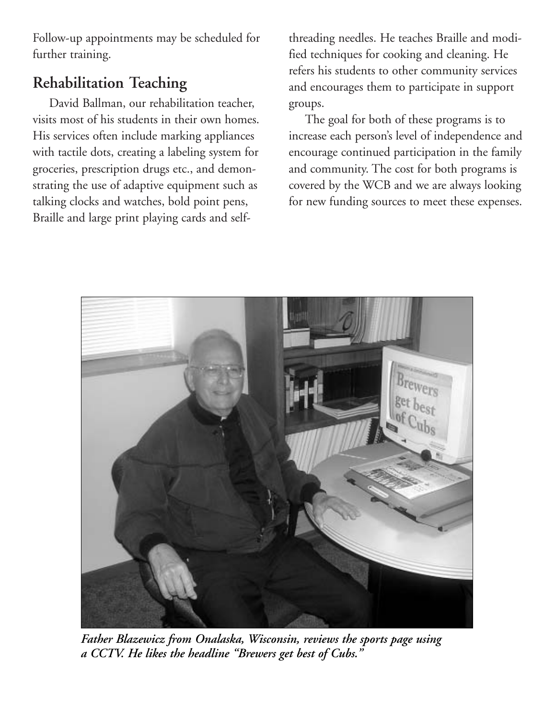Follow-up appointments may be scheduled for further training.

### **Rehabilitation Teaching**

David Ballman, our rehabilitation teacher, visits most of his students in their own homes. His services often include marking appliances with tactile dots, creating a labeling system for groceries, prescription drugs etc., and demonstrating the use of adaptive equipment such as talking clocks and watches, bold point pens, Braille and large print playing cards and selfthreading needles. He teaches Braille and modified techniques for cooking and cleaning. He refers his students to other community services and encourages them to participate in support groups.

The goal for both of these programs is to increase each person's level of independence and encourage continued participation in the family and community. The cost for both programs is covered by the WCB and we are always looking for new funding sources to meet these expenses.



*Father Blazewicz from Onalaska, Wisconsin, reviews the sports page using a CCTV. He likes the headline "Brewers get best of Cubs."*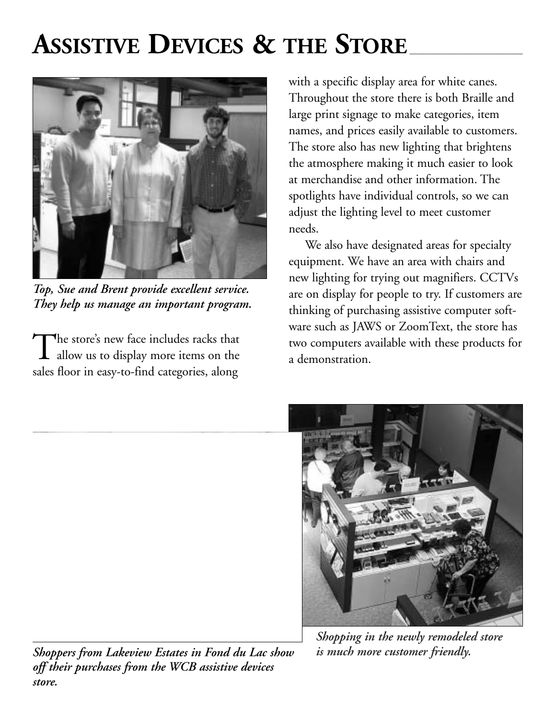# **ASSISTIVE DEVICES & THE STORE**



*Top, Sue and Brent provide excellent service. They help us manage an important program.* 

The store's new face includes racks that allow us to display more items on the sales floor in easy-to-find categories, along

with a specific display area for white canes. Throughout the store there is both Braille and large print signage to make categories, item names, and prices easily available to customers. The store also has new lighting that brightens the atmosphere making it much easier to look at merchandise and other information. The spotlights have individual controls, so we can adjust the lighting level to meet customer needs.

We also have designated areas for specialty equipment. We have an area with chairs and new lighting for trying out magnifiers. CCTVs are on display for people to try. If customers are thinking of purchasing assistive computer software such as JAWS or ZoomText, the store has two computers available with these products for a demonstration.



*Shopping in the newly remodeled store* 

*Shoppers from Lakeview Estates in Fond du Lac show is much more customer friendly. off their purchases from the WCB assistive devices store.*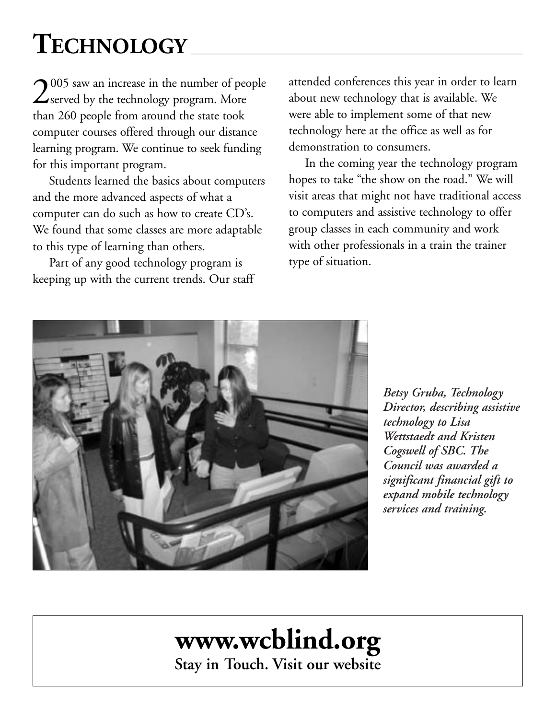# $\mathrm{T}\mathrm{ECHNOLOGY}$

<sup>2005</sup> saw an increase in the number of people  $\angle$ served by the technology program. More than 260 people from around the state took computer courses offered through our distance learning program. We continue to seek funding for this important program.

Students learned the basics about computers and the more advanced aspects of what a computer can do such as how to create CD's. We found that some classes are more adaptable to this type of learning than others.

Part of any good technology program is keeping up with the current trends. Our staff attended conferences this year in order to learn about new technology that is available. We were able to implement some of that new technology here at the office as well as for demonstration to consumers.

In the coming year the technology program hopes to take "the show on the road." We will visit areas that might not have traditional access to computers and assistive technology to offer group classes in each community and work with other professionals in a train the trainer type of situation.



*Betsy Gruba, Technology Director, describing assistive technology to Lisa Wettstaedt and Kristen Cogswell of SBC. The Council was awarded a significant financial gift to expand mobile technology services and training.* 

# **<www.wcblind.org>**

**Stay in Touch. Visit our website**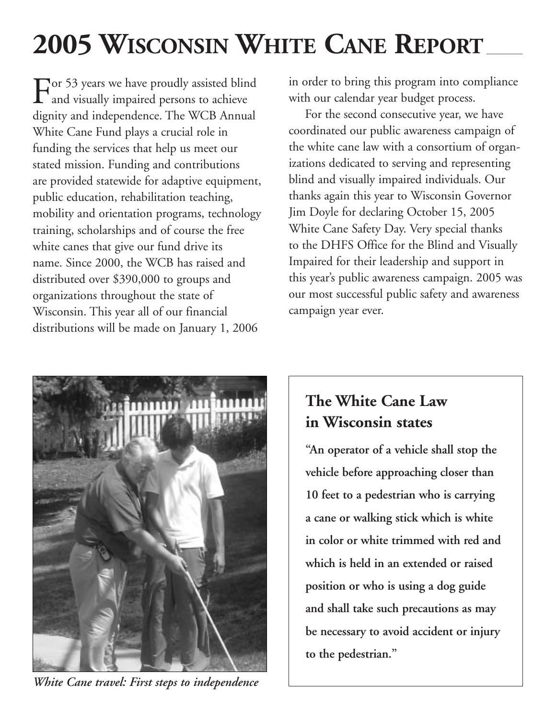# 2005 WISCONSIN WHITE CANE REPORT

For 53 years we have proudly assisted blind  $\mathbf \mathbf \mathbf 1$  and visually impaired persons to achieve dignity and independence. The WCB Annual White Cane Fund plays a crucial role in funding the services that help us meet our stated mission. Funding and contributions are provided statewide for adaptive equipment, public education, rehabilitation teaching, mobility and orientation programs, technology training, scholarships and of course the free white canes that give our fund drive its name. Since 2000, the WCB has raised and distributed over \$390,000 to groups and organizations throughout the state of Wisconsin. This year all of our financial distributions will be made on January 1, 2006

in order to bring this program into compliance with our calendar year budget process.

For the second consecutive year, we have coordinated our public awareness campaign of the white cane law with a consortium of organizations dedicated to serving and representing blind and visually impaired individuals. Our thanks again this year to Wisconsin Governor Jim Doyle for declaring October 15, 2005 White Cane Safety Day. Very special thanks to the DHFS Office for the Blind and Visually Impaired for their leadership and support in this year's public awareness campaign. 2005 was our most successful public safety and awareness campaign year ever.



*White Cane travel: First steps to independence* 

### **The White Cane Law in Wisconsin states**

**"An operator of a vehicle shall stop the vehicle before approaching closer than 10 feet to a pedestrian who is carrying a cane or walking stick which is white in color or white trimmed with red and which is held in an extended or raised position or who is using a dog guide and shall take such precautions as may be necessary to avoid accident or injury to the pedestrian."**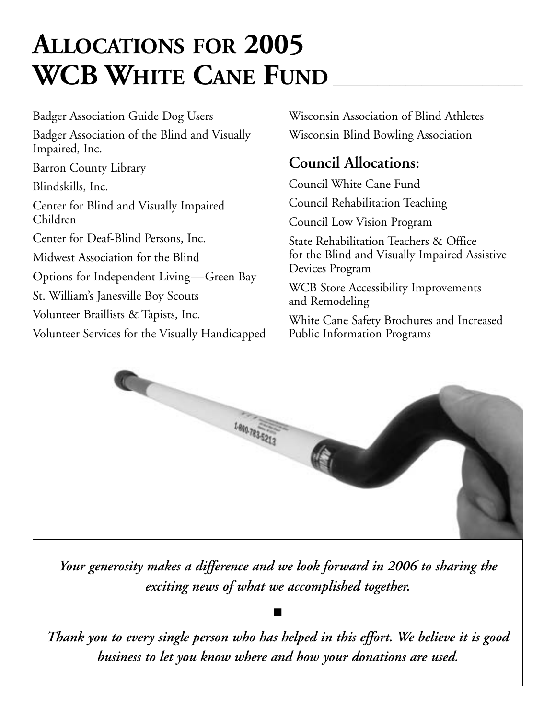### **ALLOCATIONS FOR 2005**  WCB WHITE CANE FUND

Badger Association Guide Dog Users Badger Association of the Blind and Visually Impaired, Inc. Barron County Library Blindskills, Inc. Center for Blind and Visually Impaired Children Center for Deaf-Blind Persons, Inc. Midwest Association for the Blind Options for Independent Living—Green Bay St. William's Janesville Boy Scouts Volunteer Braillists & Tapists, Inc. Volunteer Services for the Visually Handicapped

Wisconsin Association of Blind Athletes Wisconsin Blind Bowling Association

### **Council Allocations:**

Council White Cane Fund Council Rehabilitation Teaching

Council Low Vision Program

State Rehabilitation Teachers & Office for the Blind and Visually Impaired Assistive Devices Program

WCB Store Accessibility Improvements and Remodeling

White Cane Safety Brochures and Increased Public Information Programs



*Your generosity makes a difference and we look forward in 2006 to sharing the exciting news of what we accomplished together.* 

■

*Thank you to every single person who has helped in this effort. We believe it is good business to let you know where and how your donations are used.*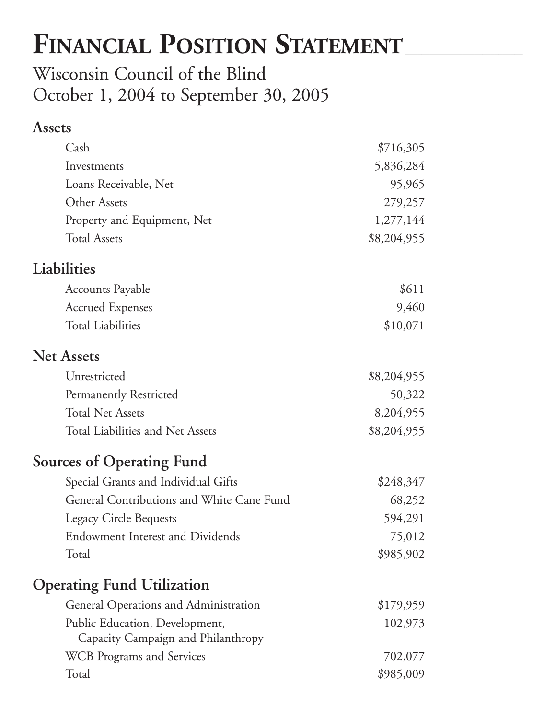# FINANCIAL POSITION STATEMENT

Wisconsin Council of the Blind October 1, 2004 to September 30, 2005

#### **Assets**

| Cash                                                                 | \$716,305   |
|----------------------------------------------------------------------|-------------|
| Investments                                                          | 5,836,284   |
| Loans Receivable, Net                                                | 95,965      |
| Other Assets                                                         | 279,257     |
| Property and Equipment, Net                                          | 1,277,144   |
| <b>Total Assets</b>                                                  | \$8,204,955 |
| Liabilities                                                          |             |
| Accounts Payable                                                     | \$611       |
| <b>Accrued Expenses</b>                                              | 9,460       |
| <b>Total Liabilities</b>                                             | \$10,071    |
| <b>Net Assets</b>                                                    |             |
| Unrestricted                                                         | \$8,204,955 |
| Permanently Restricted                                               | 50,322      |
| <b>Total Net Assets</b>                                              | 8,204,955   |
| Total Liabilities and Net Assets                                     | \$8,204,955 |
| <b>Sources of Operating Fund</b>                                     |             |
| Special Grants and Individual Gifts                                  | \$248,347   |
| General Contributions and White Cane Fund                            | 68,252      |
| <b>Legacy Circle Bequests</b>                                        | 594,291     |
| <b>Endowment Interest and Dividends</b>                              | 75,012      |
| Total                                                                | \$985,902   |
| <b>Operating Fund Utilization</b>                                    |             |
| General Operations and Administration                                | \$179,959   |
| Public Education, Development,<br>Capacity Campaign and Philanthropy | 102,973     |
| <b>WCB</b> Programs and Services                                     | 702,077     |
| Total                                                                | \$985,009   |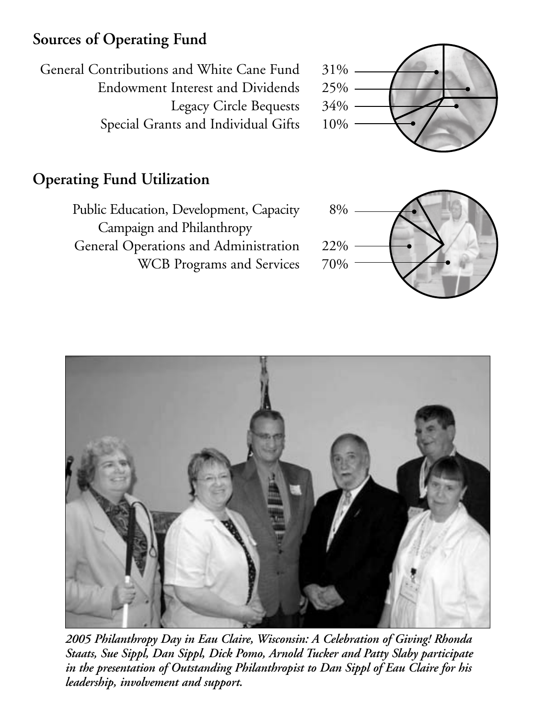### **Sources of Operating Fund**

General Contributions and White Cane Fund 31% Endowment Interest and Dividends 25% Legacy Circle Bequests 34% Special Grants and Individual Gifts 10%

### **Operating Fund Utilization**

Public Education, Development, Capacity 8% Campaign and Philanthropy General Operations and Administration 22% WCB Programs and Services 70%





*2005 Philanthropy Day in Eau Claire, Wisconsin: A Celebration of Giving! Rhonda Staats, Sue Sippl, Dan Sippl, Dick Pomo, Arnold Tucker and Patty Slaby participate in the presentation of Outstanding Philanthropist to Dan Sippl of Eau Claire for his leadership, involvement and support.*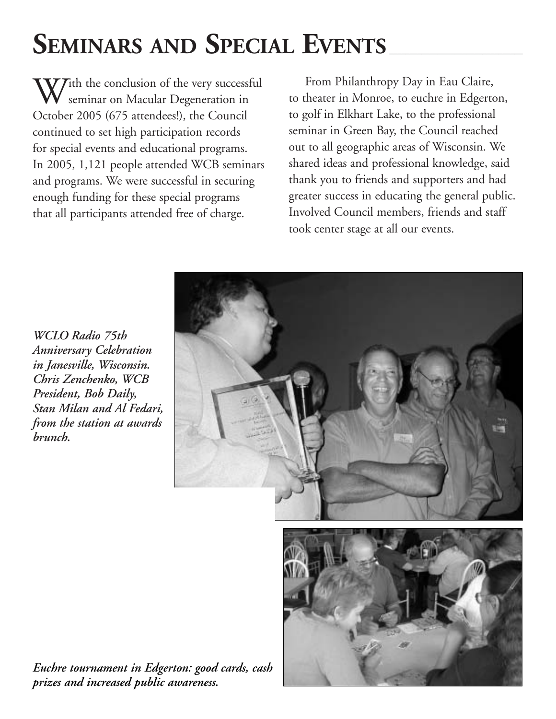# SEMINARS AND SPECIAL EVENTS

 $V$ Tith the conclusion of the very successful seminar on Macular Degeneration in October 2005 (675 attendees!), the Council continued to set high participation records for special events and educational programs. In 2005, 1,121 people attended WCB seminars and programs. We were successful in securing enough funding for these special programs that all participants attended free of charge.

From Philanthropy Day in Eau Claire, to theater in Monroe, to euchre in Edgerton, to golf in Elkhart Lake, to the professional seminar in Green Bay, the Council reached out to all geographic areas of Wisconsin. We shared ideas and professional knowledge, said thank you to friends and supporters and had greater success in educating the general public. Involved Council members, friends and staff took center stage at all our events.

*WCLO Radio 75th Anniversary Celebration in Janesville, Wisconsin. Chris Zenchenko, WCB President, Bob Daily, Stan Milan and Al Fedari, from the station at awards brunch.* 



*Euchre tournament in Edgerton: good cards, cash prizes and increased public awareness.*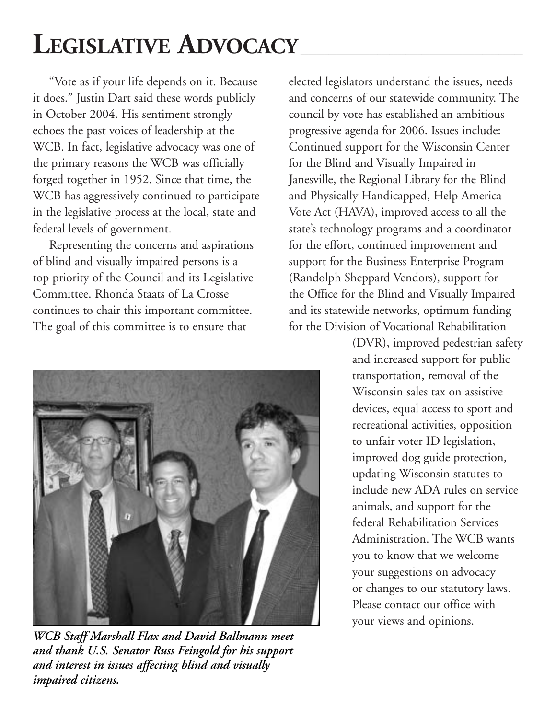# LEGISLATIVE **ADVOCACY**

"Vote as if your life depends on it. Because it does." Justin Dart said these words publicly in October 2004. His sentiment strongly echoes the past voices of leadership at the WCB. In fact, legislative advocacy was one of the primary reasons the WCB was officially forged together in 1952. Since that time, the WCB has aggressively continued to participate in the legislative process at the local, state and federal levels of government.

Representing the concerns and aspirations of blind and visually impaired persons is a top priority of the Council and its Legislative Committee. Rhonda Staats of La Crosse continues to chair this important committee. The goal of this committee is to ensure that



*WCB Staff Marshall Flax and David Ballmann meet and thank U.S. Senator Russ Feingold for his support and interest in issues affecting blind and visually impaired citizens.* 

elected legislators understand the issues, needs and concerns of our statewide community. The council by vote has established an ambitious progressive agenda for 2006. Issues include: Continued support for the Wisconsin Center for the Blind and Visually Impaired in Janesville, the Regional Library for the Blind and Physically Handicapped, Help America Vote Act (HAVA), improved access to all the state's technology programs and a coordinator for the effort, continued improvement and support for the Business Enterprise Program (Randolph Sheppard Vendors), support for the Office for the Blind and Visually Impaired and its statewide networks, optimum funding for the Division of Vocational Rehabilitation

> (DVR), improved pedestrian safety and increased support for public transportation, removal of the Wisconsin sales tax on assistive devices, equal access to sport and recreational activities, opposition to unfair voter ID legislation, improved dog guide protection, updating Wisconsin statutes to include new ADA rules on service animals, and support for the federal Rehabilitation Services Administration. The WCB wants you to know that we welcome your suggestions on advocacy or changes to our statutory laws. Please contact our office with your views and opinions.